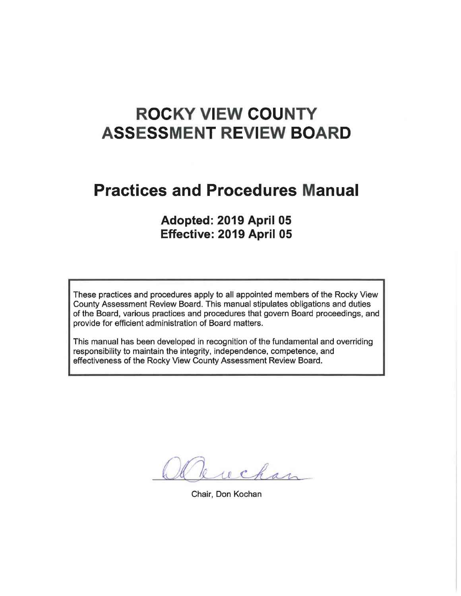# **ROCKY VIEW COUNTY ASSESSMENT REVIEW BOARD**

# **Practices and Procedures Manual**

# **Adopted: 2019 April 05 Effective: 2019 April 05**

These practices and procedures apply to all appointed members of the Rocky View County Assessment Review Board. This manual stipulates obligations and duties of the Board, various practices and procedures that govern Board proceedings, and provide for efficient administration of Board matters.

This manual has been developed in recognition of the fundamental and overriding responsibility to maintain the integrity, independence, competence, and effectiveness of the Rocky View County Assessment Review Board.

wchar

Chair, Don Kochan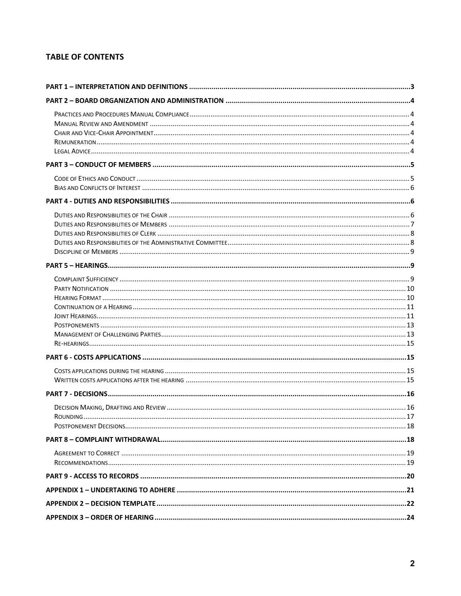# **TABLE OF CONTENTS**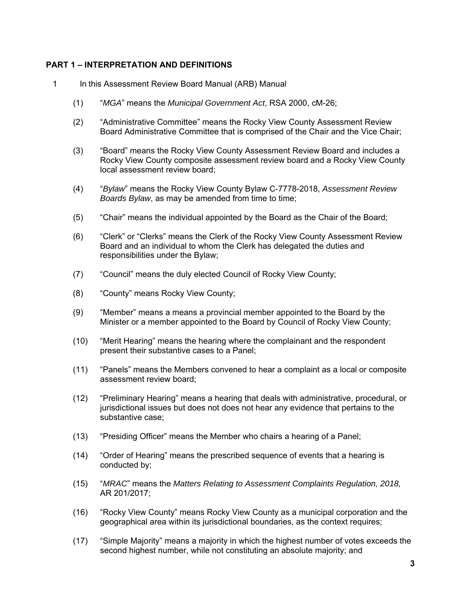# **PART 1 – INTERPRETATION AND DEFINITIONS**

- 1 In this Assessment Review Board Manual (ARB) Manual
	- (1) "*MGA*" means the *Municipal Government Act*, RSA 2000, cM-26;
	- (2) "Administrative Committee" means the Rocky View County Assessment Review Board Administrative Committee that is comprised of the Chair and the Vice Chair;
	- (3) "Board" means the Rocky View County Assessment Review Board and includes a Rocky View County composite assessment review board and a Rocky View County local assessment review board;
	- (4) "*Bylaw*" means the Rocky View County Bylaw C-7778-2018, *Assessment Review Boards Bylaw*, as may be amended from time to time;
	- (5) "Chair" means the individual appointed by the Board as the Chair of the Board;
	- (6) "Clerk" or "Clerks" means the Clerk of the Rocky View County Assessment Review Board and an individual to whom the Clerk has delegated the duties and responsibilities under the Bylaw;
	- (7) "Council" means the duly elected Council of Rocky View County;
	- (8) "County" means Rocky View County;
	- (9) "Member" means a means a provincial member appointed to the Board by the Minister or a member appointed to the Board by Council of Rocky View County;
	- (10) "Merit Hearing" means the hearing where the complainant and the respondent present their substantive cases to a Panel;
	- (11) "Panels" means the Members convened to hear a complaint as a local or composite assessment review board;
	- (12) "Preliminary Hearing" means a hearing that deals with administrative, procedural, or jurisdictional issues but does not does not hear any evidence that pertains to the substantive case;
	- (13) "Presiding Officer" means the Member who chairs a hearing of a Panel;
	- (14) "Order of Hearing" means the prescribed sequence of events that a hearing is conducted by;
	- (15) "*MRAC*" means the *Matters Relating to Assessment Complaints Regulation, 2018,*  AR 201/2017;
	- (16) "Rocky View County" means Rocky View County as a municipal corporation and the geographical area within its jurisdictional boundaries, as the context requires;
	- (17) "Simple Majority" means a majority in which the highest number of votes exceeds the second highest number, while not constituting an absolute majority; and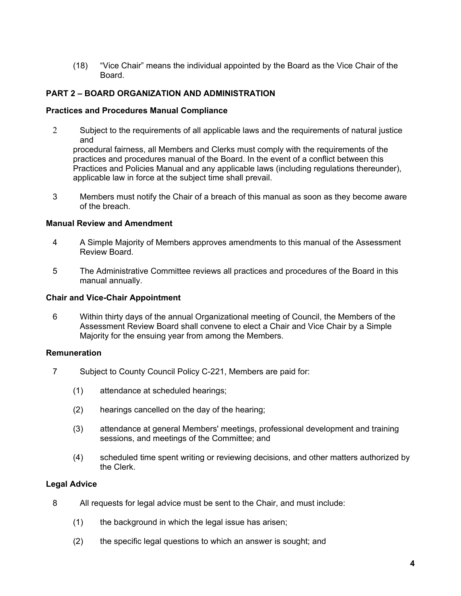(18) "Vice Chair" means the individual appointed by the Board as the Vice Chair of the Board.

#### **PART 2 – BOARD ORGANIZATION AND ADMINISTRATION**

#### **Practices and Procedures Manual Compliance**

2 Subject to the requirements of all applicable laws and the requirements of natural justice and

procedural fairness, all Members and Clerks must comply with the requirements of the practices and procedures manual of the Board. In the event of a conflict between this Practices and Policies Manual and any applicable laws (including regulations thereunder), applicable law in force at the subject time shall prevail.

3 Members must notify the Chair of a breach of this manual as soon as they become aware of the breach.

#### **Manual Review and Amendment**

- 4 A Simple Majority of Members approves amendments to this manual of the Assessment Review Board.
- 5 The Administrative Committee reviews all practices and procedures of the Board in this manual annually.

#### **Chair and Vice-Chair Appointment**

6 Within thirty days of the annual Organizational meeting of Council, the Members of the Assessment Review Board shall convene to elect a Chair and Vice Chair by a Simple Majority for the ensuing year from among the Members.

#### **Remuneration**

- 7 Subject to County Council Policy C-221, Members are paid for:
	- (1) attendance at scheduled hearings;
	- (2) hearings cancelled on the day of the hearing;
	- (3) attendance at general Members' meetings, professional development and training sessions, and meetings of the Committee; and
	- (4) scheduled time spent writing or reviewing decisions, and other matters authorized by the Clerk.

#### **Legal Advice**

- 8 All requests for legal advice must be sent to the Chair, and must include:
	- (1) the background in which the legal issue has arisen;
	- (2) the specific legal questions to which an answer is sought; and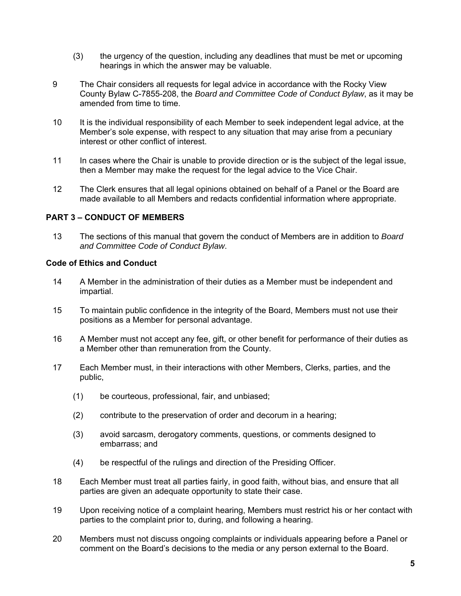- (3) the urgency of the question, including any deadlines that must be met or upcoming hearings in which the answer may be valuable.
- 9 The Chair considers all requests for legal advice in accordance with the Rocky View County Bylaw C-7855-208, the *Board and Committee Code of Conduct Bylaw*, as it may be amended from time to time.
- 10 It is the individual responsibility of each Member to seek independent legal advice, at the Member's sole expense, with respect to any situation that may arise from a pecuniary interest or other conflict of interest.
- 11 In cases where the Chair is unable to provide direction or is the subject of the legal issue, then a Member may make the request for the legal advice to the Vice Chair.
- 12 The Clerk ensures that all legal opinions obtained on behalf of a Panel or the Board are made available to all Members and redacts confidential information where appropriate.

#### **PART 3 – CONDUCT OF MEMBERS**

13 The sections of this manual that govern the conduct of Members are in addition to *Board and Committee Code of Conduct Bylaw*.

# **Code of Ethics and Conduct**

- 14 A Member in the administration of their duties as a Member must be independent and impartial.
- 15 To maintain public confidence in the integrity of the Board, Members must not use their positions as a Member for personal advantage.
- 16 A Member must not accept any fee, gift, or other benefit for performance of their duties as a Member other than remuneration from the County.
- 17 Each Member must, in their interactions with other Members, Clerks, parties, and the public,
	- (1) be courteous, professional, fair, and unbiased;
	- (2) contribute to the preservation of order and decorum in a hearing;
	- (3) avoid sarcasm, derogatory comments, questions, or comments designed to embarrass; and
	- (4) be respectful of the rulings and direction of the Presiding Officer.
- 18 Each Member must treat all parties fairly, in good faith, without bias, and ensure that all parties are given an adequate opportunity to state their case.
- 19 Upon receiving notice of a complaint hearing, Members must restrict his or her contact with parties to the complaint prior to, during, and following a hearing.
- 20 Members must not discuss ongoing complaints or individuals appearing before a Panel or comment on the Board's decisions to the media or any person external to the Board.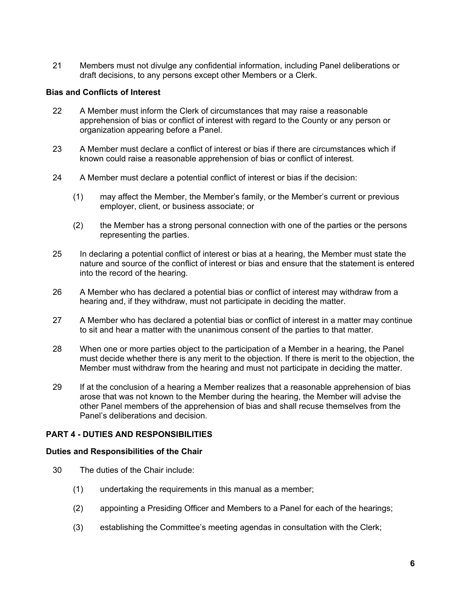21 Members must not divulge any confidential information, including Panel deliberations or draft decisions, to any persons except other Members or a Clerk.

#### **Bias and Conflicts of Interest**

- 22 A Member must inform the Clerk of circumstances that may raise a reasonable apprehension of bias or conflict of interest with regard to the County or any person or organization appearing before a Panel.
- 23 A Member must declare a conflict of interest or bias if there are circumstances which if known could raise a reasonable apprehension of bias or conflict of interest.
- 24 A Member must declare a potential conflict of interest or bias if the decision:
	- (1) may affect the Member, the Member's family, or the Member's current or previous employer, client, or business associate; or
	- (2) the Member has a strong personal connection with one of the parties or the persons representing the parties.
- 25 In declaring a potential conflict of interest or bias at a hearing, the Member must state the nature and source of the conflict of interest or bias and ensure that the statement is entered into the record of the hearing.
- 26 A Member who has declared a potential bias or conflict of interest may withdraw from a hearing and, if they withdraw, must not participate in deciding the matter.
- 27 A Member who has declared a potential bias or conflict of interest in a matter may continue to sit and hear a matter with the unanimous consent of the parties to that matter.
- 28 When one or more parties object to the participation of a Member in a hearing, the Panel must decide whether there is any merit to the objection. If there is merit to the objection, the Member must withdraw from the hearing and must not participate in deciding the matter.
- 29 If at the conclusion of a hearing a Member realizes that a reasonable apprehension of bias arose that was not known to the Member during the hearing, the Member will advise the other Panel members of the apprehension of bias and shall recuse themselves from the Panel's deliberations and decision.

# **PART 4 - DUTIES AND RESPONSIBILITIES**

#### **Duties and Responsibilities of the Chair**

- 30 The duties of the Chair include:
	- (1) undertaking the requirements in this manual as a member;
	- (2) appointing a Presiding Officer and Members to a Panel for each of the hearings;
	- (3) establishing the Committee's meeting agendas in consultation with the Clerk;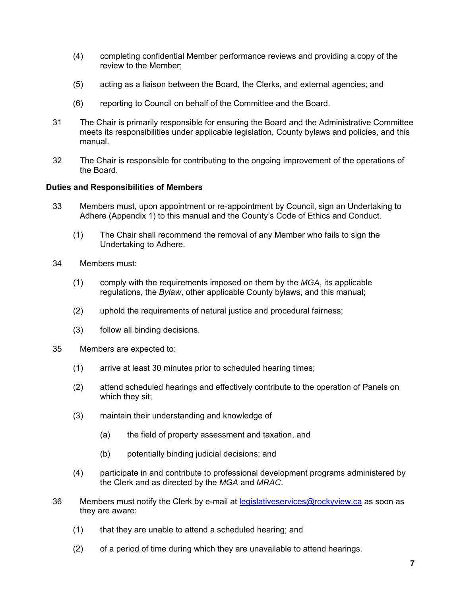- (4) completing confidential Member performance reviews and providing a copy of the review to the Member;
- (5) acting as a liaison between the Board, the Clerks, and external agencies; and
- (6) reporting to Council on behalf of the Committee and the Board.
- 31 The Chair is primarily responsible for ensuring the Board and the Administrative Committee meets its responsibilities under applicable legislation, County bylaws and policies, and this manual.
- 32 The Chair is responsible for contributing to the ongoing improvement of the operations of the Board.

#### **Duties and Responsibilities of Members**

- 33 Members must, upon appointment or re-appointment by Council, sign an Undertaking to Adhere (Appendix 1) to this manual and the County's Code of Ethics and Conduct.
	- (1) The Chair shall recommend the removal of any Member who fails to sign the Undertaking to Adhere.
- 34 Members must:
	- (1) comply with the requirements imposed on them by the *MGA*, its applicable regulations, the *Bylaw*, other applicable County bylaws, and this manual;
	- (2) uphold the requirements of natural justice and procedural fairness;
	- (3) follow all binding decisions.
- 35 Members are expected to:
	- (1) arrive at least 30 minutes prior to scheduled hearing times;
	- (2) attend scheduled hearings and effectively contribute to the operation of Panels on which they sit;
	- (3) maintain their understanding and knowledge of
		- (a) the field of property assessment and taxation, and
		- (b) potentially binding judicial decisions; and
	- (4) participate in and contribute to professional development programs administered by the Clerk and as directed by the *MGA* and *MRAC*.
- 36 Members must notify the Clerk by e-mail at legislativeservices@rockyview.ca as soon as they are aware:
	- (1) that they are unable to attend a scheduled hearing; and
	- (2) of a period of time during which they are unavailable to attend hearings.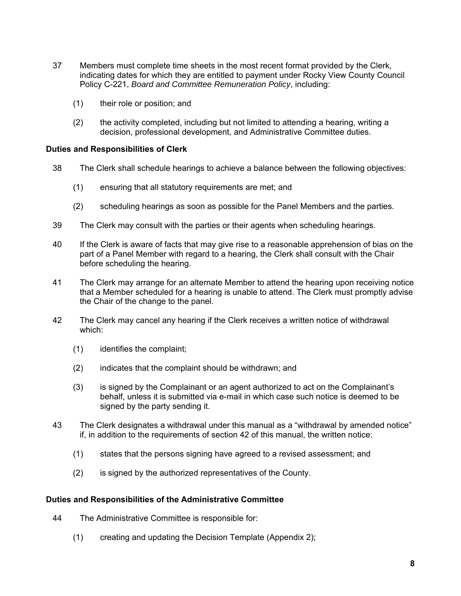- 37 Members must complete time sheets in the most recent format provided by the Clerk, indicating dates for which they are entitled to payment under Rocky View County Council Policy C-221, *Board and Committee Remuneration Policy*, including:
	- (1) their role or position; and
	- (2) the activity completed, including but not limited to attending a hearing, writing a decision, professional development, and Administrative Committee duties.

#### **Duties and Responsibilities of Clerk**

- 38 The Clerk shall schedule hearings to achieve a balance between the following objectives:
	- (1) ensuring that all statutory requirements are met; and
	- (2) scheduling hearings as soon as possible for the Panel Members and the parties.
- 39 The Clerk may consult with the parties or their agents when scheduling hearings.
- 40 If the Clerk is aware of facts that may give rise to a reasonable apprehension of bias on the part of a Panel Member with regard to a hearing, the Clerk shall consult with the Chair before scheduling the hearing.
- 41 The Clerk may arrange for an alternate Member to attend the hearing upon receiving notice that a Member scheduled for a hearing is unable to attend. The Clerk must promptly advise the Chair of the change to the panel.
- 42 The Clerk may cancel any hearing if the Clerk receives a written notice of withdrawal which:
	- (1) identifies the complaint;
	- (2) indicates that the complaint should be withdrawn; and
	- (3) is signed by the Complainant or an agent authorized to act on the Complainant's behalf, unless it is submitted via e-mail in which case such notice is deemed to be signed by the party sending it.
- 43 The Clerk designates a withdrawal under this manual as a "withdrawal by amended notice" if, in addition to the requirements of section 42 of this manual, the written notice:
	- (1) states that the persons signing have agreed to a revised assessment; and
	- (2) is signed by the authorized representatives of the County.

#### **Duties and Responsibilities of the Administrative Committee**

- 44 The Administrative Committee is responsible for:
	- (1) creating and updating the Decision Template (Appendix 2);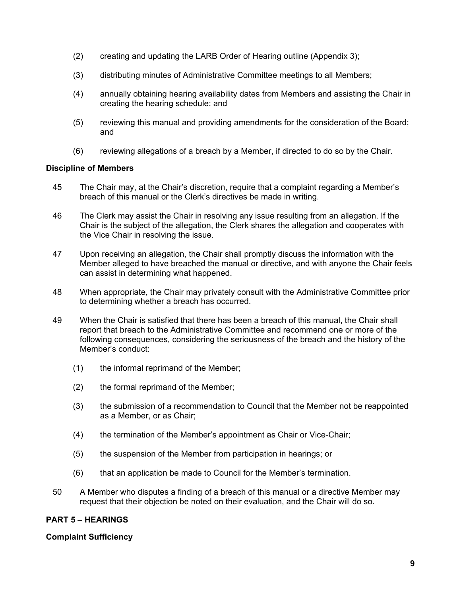- (2) creating and updating the LARB Order of Hearing outline (Appendix 3);
- (3) distributing minutes of Administrative Committee meetings to all Members;
- (4) annually obtaining hearing availability dates from Members and assisting the Chair in creating the hearing schedule; and
- (5) reviewing this manual and providing amendments for the consideration of the Board; and
- (6) reviewing allegations of a breach by a Member, if directed to do so by the Chair.

#### **Discipline of Members**

- 45 The Chair may, at the Chair's discretion, require that a complaint regarding a Member's breach of this manual or the Clerk's directives be made in writing.
- 46 The Clerk may assist the Chair in resolving any issue resulting from an allegation. If the Chair is the subject of the allegation, the Clerk shares the allegation and cooperates with the Vice Chair in resolving the issue.
- 47 Upon receiving an allegation, the Chair shall promptly discuss the information with the Member alleged to have breached the manual or directive, and with anyone the Chair feels can assist in determining what happened.
- 48 When appropriate, the Chair may privately consult with the Administrative Committee prior to determining whether a breach has occurred.
- 49 When the Chair is satisfied that there has been a breach of this manual, the Chair shall report that breach to the Administrative Committee and recommend one or more of the following consequences, considering the seriousness of the breach and the history of the Member's conduct:
	- (1) the informal reprimand of the Member;
	- (2) the formal reprimand of the Member;
	- (3) the submission of a recommendation to Council that the Member not be reappointed as a Member, or as Chair;
	- (4) the termination of the Member's appointment as Chair or Vice-Chair;
	- (5) the suspension of the Member from participation in hearings; or
	- (6) that an application be made to Council for the Member's termination.
- 50 A Member who disputes a finding of a breach of this manual or a directive Member may request that their objection be noted on their evaluation, and the Chair will do so.

# **PART 5 – HEARINGS**

#### **Complaint Sufficiency**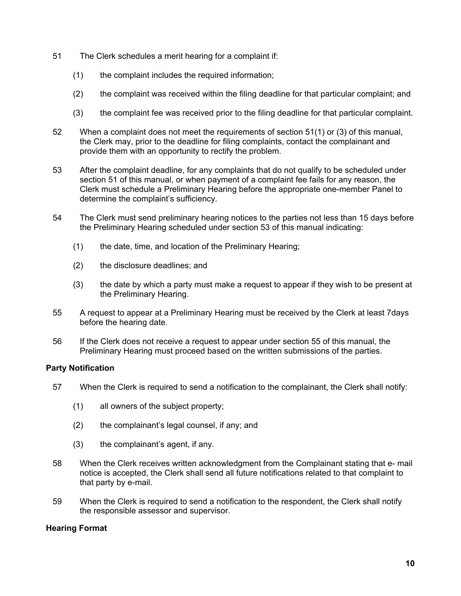- 51 The Clerk schedules a merit hearing for a complaint if:
	- (1) the complaint includes the required information;
	- (2) the complaint was received within the filing deadline for that particular complaint; and
	- (3) the complaint fee was received prior to the filing deadline for that particular complaint.
- 52 When a complaint does not meet the requirements of section 51(1) or (3) of this manual, the Clerk may, prior to the deadline for filing complaints, contact the complainant and provide them with an opportunity to rectify the problem.
- 53 After the complaint deadline, for any complaints that do not qualify to be scheduled under section 51 of this manual, or when payment of a complaint fee fails for any reason, the Clerk must schedule a Preliminary Hearing before the appropriate one-member Panel to determine the complaint's sufficiency.
- 54 The Clerk must send preliminary hearing notices to the parties not less than 15 days before the Preliminary Hearing scheduled under section 53 of this manual indicating:
	- (1) the date, time, and location of the Preliminary Hearing;
	- (2) the disclosure deadlines; and
	- (3) the date by which a party must make a request to appear if they wish to be present at the Preliminary Hearing.
- 55 A request to appear at a Preliminary Hearing must be received by the Clerk at least 7days before the hearing date.
- 56 If the Clerk does not receive a request to appear under section 55 of this manual, the Preliminary Hearing must proceed based on the written submissions of the parties.

#### **Party Notification**

- 57 When the Clerk is required to send a notification to the complainant, the Clerk shall notify:
	- (1) all owners of the subject property;
	- (2) the complainant's legal counsel, if any; and
	- (3) the complainant's agent, if any.
- 58 When the Clerk receives written acknowledgment from the Complainant stating that e- mail notice is accepted, the Clerk shall send all future notifications related to that complaint to that party by e-mail.
- 59 When the Clerk is required to send a notification to the respondent, the Clerk shall notify the responsible assessor and supervisor.

# **Hearing Format**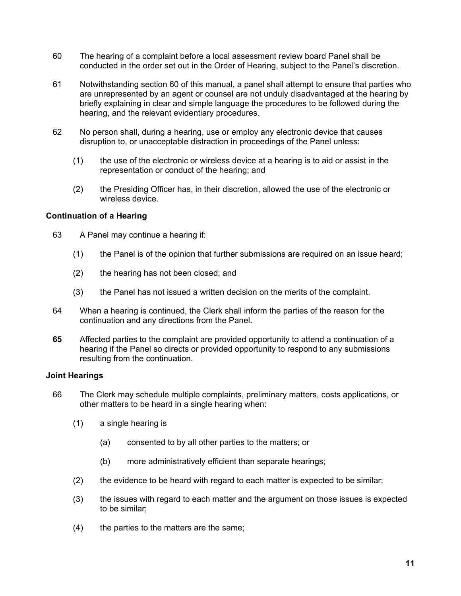- 60 The hearing of a complaint before a local assessment review board Panel shall be conducted in the order set out in the Order of Hearing, subject to the Panel's discretion.
- 61 Notwithstanding section 60 of this manual, a panel shall attempt to ensure that parties who are unrepresented by an agent or counsel are not unduly disadvantaged at the hearing by briefly explaining in clear and simple language the procedures to be followed during the hearing, and the relevant evidentiary procedures.
- 62 No person shall, during a hearing, use or employ any electronic device that causes disruption to, or unacceptable distraction in proceedings of the Panel unless:
	- (1) the use of the electronic or wireless device at a hearing is to aid or assist in the representation or conduct of the hearing; and
	- (2) the Presiding Officer has, in their discretion, allowed the use of the electronic or wireless device.

#### **Continuation of a Hearing**

- 63 A Panel may continue a hearing if:
	- (1) the Panel is of the opinion that further submissions are required on an issue heard;
	- (2) the hearing has not been closed; and
	- (3) the Panel has not issued a written decision on the merits of the complaint.
- 64 When a hearing is continued, the Clerk shall inform the parties of the reason for the continuation and any directions from the Panel.
- **65** Affected parties to the complaint are provided opportunity to attend a continuation of a hearing if the Panel so directs or provided opportunity to respond to any submissions resulting from the continuation.

#### **Joint Hearings**

- 66 The Clerk may schedule multiple complaints, preliminary matters, costs applications, or other matters to be heard in a single hearing when:
	- (1) a single hearing is
		- (a) consented to by all other parties to the matters; or
		- (b) more administratively efficient than separate hearings;
	- (2) the evidence to be heard with regard to each matter is expected to be similar;
	- (3) the issues with regard to each matter and the argument on those issues is expected to be similar;
	- (4) the parties to the matters are the same;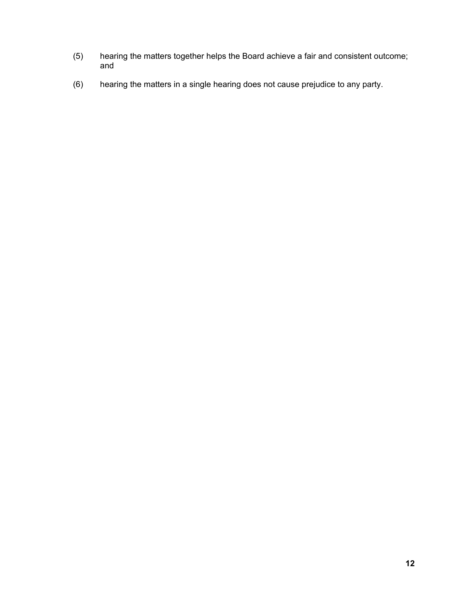- (5) hearing the matters together helps the Board achieve a fair and consistent outcome; and
- (6) hearing the matters in a single hearing does not cause prejudice to any party.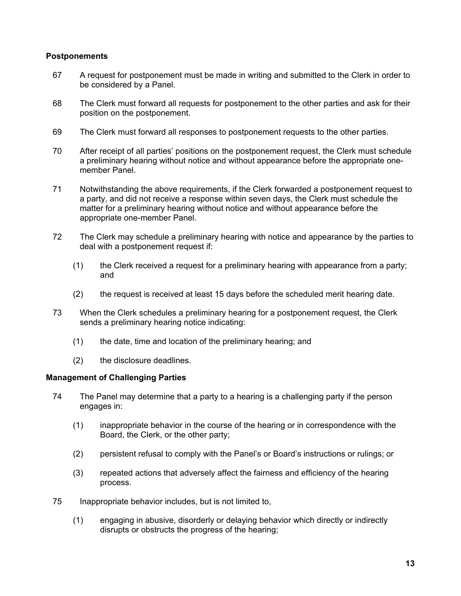#### **Postponements**

- 67 A request for postponement must be made in writing and submitted to the Clerk in order to be considered by a Panel.
- 68 The Clerk must forward all requests for postponement to the other parties and ask for their position on the postponement.
- 69 The Clerk must forward all responses to postponement requests to the other parties.
- 70 After receipt of all parties' positions on the postponement request, the Clerk must schedule a preliminary hearing without notice and without appearance before the appropriate onemember Panel.
- 71 Notwithstanding the above requirements, if the Clerk forwarded a postponement request to a party, and did not receive a response within seven days, the Clerk must schedule the matter for a preliminary hearing without notice and without appearance before the appropriate one-member Panel.
- 72 The Clerk may schedule a preliminary hearing with notice and appearance by the parties to deal with a postponement request if:
	- (1) the Clerk received a request for a preliminary hearing with appearance from a party; and
	- (2) the request is received at least 15 days before the scheduled merit hearing date.
- 73 When the Clerk schedules a preliminary hearing for a postponement request, the Clerk sends a preliminary hearing notice indicating:
	- (1) the date, time and location of the preliminary hearing; and
	- (2) the disclosure deadlines.

#### **Management of Challenging Parties**

- 74 The Panel may determine that a party to a hearing is a challenging party if the person engages in:
	- (1) inappropriate behavior in the course of the hearing or in correspondence with the Board, the Clerk, or the other party;
	- (2) persistent refusal to comply with the Panel's or Board's instructions or rulings; or
	- (3) repeated actions that adversely affect the fairness and efficiency of the hearing process.
- 75 Inappropriate behavior includes, but is not limited to,
	- (1) engaging in abusive, disorderly or delaying behavior which directly or indirectly disrupts or obstructs the progress of the hearing;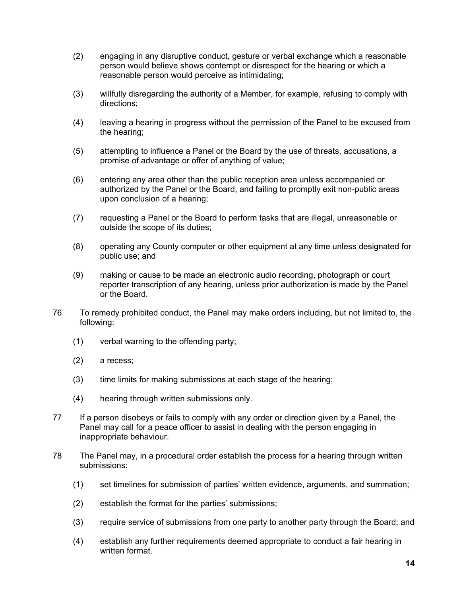- (2) engaging in any disruptive conduct, gesture or verbal exchange which a reasonable person would believe shows contempt or disrespect for the hearing or which a reasonable person would perceive as intimidating;
- (3) willfully disregarding the authority of a Member, for example, refusing to comply with directions;
- (4) leaving a hearing in progress without the permission of the Panel to be excused from the hearing;
- (5) attempting to influence a Panel or the Board by the use of threats, accusations, a promise of advantage or offer of anything of value;
- (6) entering any area other than the public reception area unless accompanied or authorized by the Panel or the Board, and failing to promptly exit non-public areas upon conclusion of a hearing;
- (7) requesting a Panel or the Board to perform tasks that are illegal, unreasonable or outside the scope of its duties;
- (8) operating any County computer or other equipment at any time unless designated for public use; and
- (9) making or cause to be made an electronic audio recording, photograph or court reporter transcription of any hearing, unless prior authorization is made by the Panel or the Board.
- 76 To remedy prohibited conduct, the Panel may make orders including, but not limited to, the following:
	- (1) verbal warning to the offending party;
	- (2) a recess;
	- (3) time limits for making submissions at each stage of the hearing;
	- (4) hearing through written submissions only.
- 77 If a person disobeys or fails to comply with any order or direction given by a Panel, the Panel may call for a peace officer to assist in dealing with the person engaging in inappropriate behaviour.
- 78 The Panel may, in a procedural order establish the process for a hearing through written submissions:
	- (1) set timelines for submission of parties' written evidence, arguments, and summation;
	- (2) establish the format for the parties' submissions;
	- (3) require service of submissions from one party to another party through the Board; and
	- (4) establish any further requirements deemed appropriate to conduct a fair hearing in written format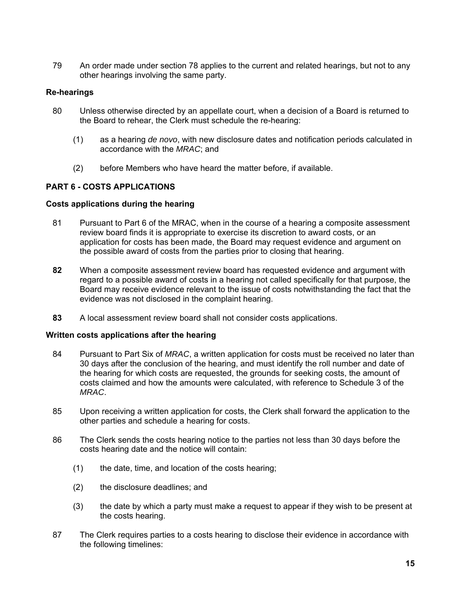79 An order made under section 78 applies to the current and related hearings, but not to any other hearings involving the same party.

# **Re-hearings**

- 80 Unless otherwise directed by an appellate court, when a decision of a Board is returned to the Board to rehear, the Clerk must schedule the re-hearing:
	- (1) as a hearing *de novo*, with new disclosure dates and notification periods calculated in accordance with the *MRAC*; and
	- (2) before Members who have heard the matter before, if available.

# **PART 6 - COSTS APPLICATIONS**

#### **Costs applications during the hearing**

- 81 Pursuant to Part 6 of the MRAC, when in the course of a hearing a composite assessment review board finds it is appropriate to exercise its discretion to award costs, or an application for costs has been made, the Board may request evidence and argument on the possible award of costs from the parties prior to closing that hearing.
- **82** When a composite assessment review board has requested evidence and argument with regard to a possible award of costs in a hearing not called specifically for that purpose, the Board may receive evidence relevant to the issue of costs notwithstanding the fact that the evidence was not disclosed in the complaint hearing.
- **83** A local assessment review board shall not consider costs applications.

# **Written costs applications after the hearing**

- 84 Pursuant to Part Six of *MRAC*, a written application for costs must be received no later than 30 days after the conclusion of the hearing, and must identify the roll number and date of the hearing for which costs are requested, the grounds for seeking costs, the amount of costs claimed and how the amounts were calculated, with reference to Schedule 3 of the *MRAC*.
- 85 Upon receiving a written application for costs, the Clerk shall forward the application to the other parties and schedule a hearing for costs.
- 86 The Clerk sends the costs hearing notice to the parties not less than 30 days before the costs hearing date and the notice will contain:
	- (1) the date, time, and location of the costs hearing;
	- (2) the disclosure deadlines; and
	- (3) the date by which a party must make a request to appear if they wish to be present at the costs hearing.
- 87 The Clerk requires parties to a costs hearing to disclose their evidence in accordance with the following timelines: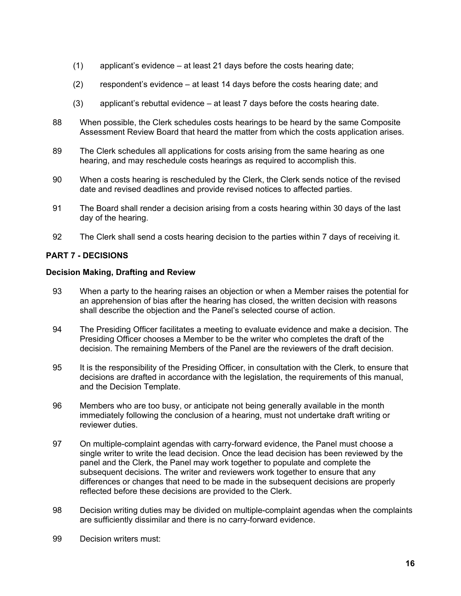- (1) applicant's evidence at least 21 days before the costs hearing date;
- (2) respondent's evidence at least 14 days before the costs hearing date; and
- (3) applicant's rebuttal evidence at least 7 days before the costs hearing date.
- 88 When possible, the Clerk schedules costs hearings to be heard by the same Composite Assessment Review Board that heard the matter from which the costs application arises.
- 89 The Clerk schedules all applications for costs arising from the same hearing as one hearing, and may reschedule costs hearings as required to accomplish this.
- 90 When a costs hearing is rescheduled by the Clerk, the Clerk sends notice of the revised date and revised deadlines and provide revised notices to affected parties.
- 91 The Board shall render a decision arising from a costs hearing within 30 days of the last day of the hearing.
- 92 The Clerk shall send a costs hearing decision to the parties within 7 days of receiving it.

# **PART 7 - DECISIONS**

# **Decision Making, Drafting and Review**

- 93 When a party to the hearing raises an objection or when a Member raises the potential for an apprehension of bias after the hearing has closed, the written decision with reasons shall describe the objection and the Panel's selected course of action.
- 94 The Presiding Officer facilitates a meeting to evaluate evidence and make a decision. The Presiding Officer chooses a Member to be the writer who completes the draft of the decision. The remaining Members of the Panel are the reviewers of the draft decision.
- 95 It is the responsibility of the Presiding Officer, in consultation with the Clerk, to ensure that decisions are drafted in accordance with the legislation, the requirements of this manual, and the Decision Template.
- 96 Members who are too busy, or anticipate not being generally available in the month immediately following the conclusion of a hearing, must not undertake draft writing or reviewer duties.
- 97 On multiple-complaint agendas with carry-forward evidence, the Panel must choose a single writer to write the lead decision. Once the lead decision has been reviewed by the panel and the Clerk, the Panel may work together to populate and complete the subsequent decisions. The writer and reviewers work together to ensure that any differences or changes that need to be made in the subsequent decisions are properly reflected before these decisions are provided to the Clerk.
- 98 Decision writing duties may be divided on multiple-complaint agendas when the complaints are sufficiently dissimilar and there is no carry-forward evidence.
- 99 Decision writers must: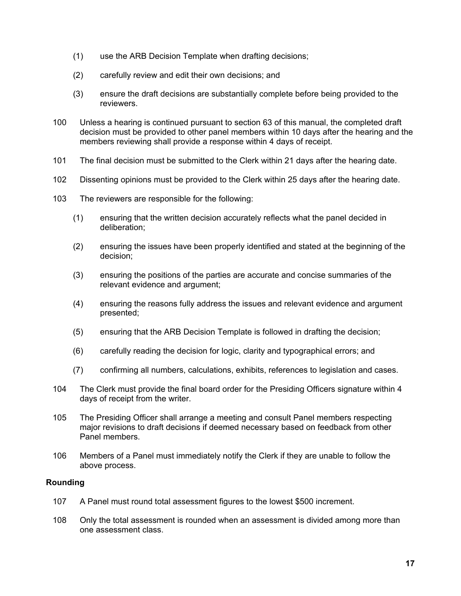- (1) use the ARB Decision Template when drafting decisions;
- (2) carefully review and edit their own decisions; and
- (3) ensure the draft decisions are substantially complete before being provided to the reviewers.
- 100 Unless a hearing is continued pursuant to section 63 of this manual, the completed draft decision must be provided to other panel members within 10 days after the hearing and the members reviewing shall provide a response within 4 days of receipt.
- 101 The final decision must be submitted to the Clerk within 21 days after the hearing date.
- 102 Dissenting opinions must be provided to the Clerk within 25 days after the hearing date.
- 103 The reviewers are responsible for the following:
	- (1) ensuring that the written decision accurately reflects what the panel decided in deliberation;
	- (2) ensuring the issues have been properly identified and stated at the beginning of the decision;
	- (3) ensuring the positions of the parties are accurate and concise summaries of the relevant evidence and argument;
	- (4) ensuring the reasons fully address the issues and relevant evidence and argument presented;
	- (5) ensuring that the ARB Decision Template is followed in drafting the decision;
	- (6) carefully reading the decision for logic, clarity and typographical errors; and
	- (7) confirming all numbers, calculations, exhibits, references to legislation and cases.
- 104 The Clerk must provide the final board order for the Presiding Officers signature within 4 days of receipt from the writer.
- 105 The Presiding Officer shall arrange a meeting and consult Panel members respecting major revisions to draft decisions if deemed necessary based on feedback from other Panel members.
- 106 Members of a Panel must immediately notify the Clerk if they are unable to follow the above process.

# **Rounding**

- 107 A Panel must round total assessment figures to the lowest \$500 increment.
- 108 Only the total assessment is rounded when an assessment is divided among more than one assessment class.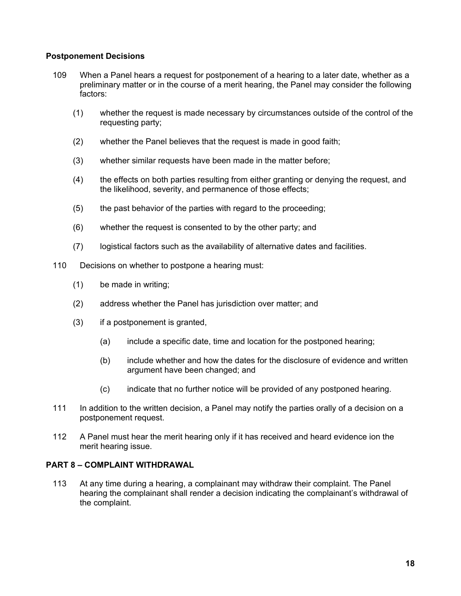# **Postponement Decisions**

- 109 When a Panel hears a request for postponement of a hearing to a later date, whether as a preliminary matter or in the course of a merit hearing, the Panel may consider the following factors:
	- (1) whether the request is made necessary by circumstances outside of the control of the requesting party;
	- (2) whether the Panel believes that the request is made in good faith;
	- (3) whether similar requests have been made in the matter before;
	- (4) the effects on both parties resulting from either granting or denying the request, and the likelihood, severity, and permanence of those effects;
	- (5) the past behavior of the parties with regard to the proceeding;
	- (6) whether the request is consented to by the other party; and
	- (7) logistical factors such as the availability of alternative dates and facilities.
- 110 Decisions on whether to postpone a hearing must:
	- (1) be made in writing;
	- (2) address whether the Panel has jurisdiction over matter; and
	- (3) if a postponement is granted,
		- (a) include a specific date, time and location for the postponed hearing;
		- (b) include whether and how the dates for the disclosure of evidence and written argument have been changed; and
		- (c) indicate that no further notice will be provided of any postponed hearing.
- 111 In addition to the written decision, a Panel may notify the parties orally of a decision on a postponement request.
- 112 A Panel must hear the merit hearing only if it has received and heard evidence ion the merit hearing issue.

# **PART 8 – COMPLAINT WITHDRAWAL**

113 At any time during a hearing, a complainant may withdraw their complaint. The Panel hearing the complainant shall render a decision indicating the complainant's withdrawal of the complaint.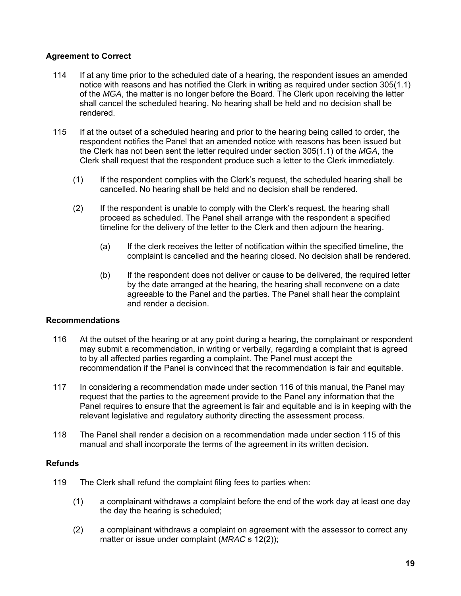# **Agreement to Correct**

- 114 If at any time prior to the scheduled date of a hearing, the respondent issues an amended notice with reasons and has notified the Clerk in writing as required under section 305(1.1) of the *MGA*, the matter is no longer before the Board. The Clerk upon receiving the letter shall cancel the scheduled hearing. No hearing shall be held and no decision shall be rendered.
- 115 If at the outset of a scheduled hearing and prior to the hearing being called to order, the respondent notifies the Panel that an amended notice with reasons has been issued but the Clerk has not been sent the letter required under section 305(1.1) of the *MGA*, the Clerk shall request that the respondent produce such a letter to the Clerk immediately.
	- (1) If the respondent complies with the Clerk's request, the scheduled hearing shall be cancelled. No hearing shall be held and no decision shall be rendered.
	- (2) If the respondent is unable to comply with the Clerk's request, the hearing shall proceed as scheduled. The Panel shall arrange with the respondent a specified timeline for the delivery of the letter to the Clerk and then adjourn the hearing.
		- (a) If the clerk receives the letter of notification within the specified timeline, the complaint is cancelled and the hearing closed. No decision shall be rendered.
		- (b) If the respondent does not deliver or cause to be delivered, the required letter by the date arranged at the hearing, the hearing shall reconvene on a date agreeable to the Panel and the parties. The Panel shall hear the complaint and render a decision.

# **Recommendations**

- 116 At the outset of the hearing or at any point during a hearing, the complainant or respondent may submit a recommendation, in writing or verbally, regarding a complaint that is agreed to by all affected parties regarding a complaint. The Panel must accept the recommendation if the Panel is convinced that the recommendation is fair and equitable.
- 117 In considering a recommendation made under section 116 of this manual, the Panel may request that the parties to the agreement provide to the Panel any information that the Panel requires to ensure that the agreement is fair and equitable and is in keeping with the relevant legislative and regulatory authority directing the assessment process.
- 118 The Panel shall render a decision on a recommendation made under section 115 of this manual and shall incorporate the terms of the agreement in its written decision.

#### **Refunds**

- 119 The Clerk shall refund the complaint filing fees to parties when:
	- (1) a complainant withdraws a complaint before the end of the work day at least one day the day the hearing is scheduled;
	- (2) a complainant withdraws a complaint on agreement with the assessor to correct any matter or issue under complaint (*MRAC* s 12(2));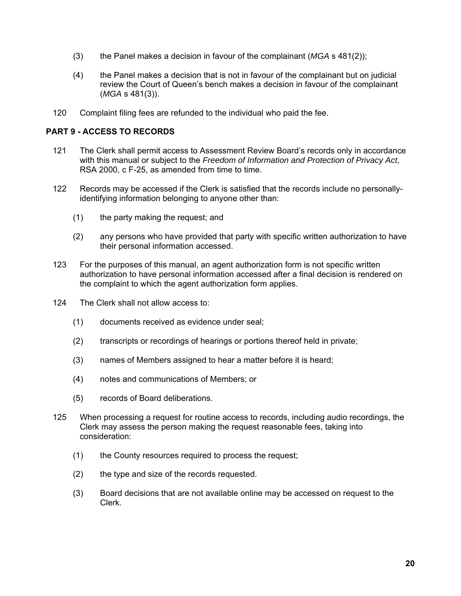- (3) the Panel makes a decision in favour of the complainant (*MGA* s 481(2));
- (4) the Panel makes a decision that is not in favour of the complainant but on judicial review the Court of Queen's bench makes a decision in favour of the complainant (*MGA* s 481(3)).
- 120 Complaint filing fees are refunded to the individual who paid the fee.

# **PART 9 - ACCESS TO RECORDS**

- 121 The Clerk shall permit access to Assessment Review Board's records only in accordance with this manual or subject to the *Freedom of Information and Protection of Privacy Act*, RSA 2000, c F-25, as amended from time to time.
- 122 Records may be accessed if the Clerk is satisfied that the records include no personallyidentifying information belonging to anyone other than:
	- (1) the party making the request; and
	- (2) any persons who have provided that party with specific written authorization to have their personal information accessed.
- 123 For the purposes of this manual, an agent authorization form is not specific written authorization to have personal information accessed after a final decision is rendered on the complaint to which the agent authorization form applies.
- 124 The Clerk shall not allow access to:
	- (1) documents received as evidence under seal;
	- (2) transcripts or recordings of hearings or portions thereof held in private;
	- (3) names of Members assigned to hear a matter before it is heard;
	- (4) notes and communications of Members; or
	- (5) records of Board deliberations.
- 125 When processing a request for routine access to records, including audio recordings, the Clerk may assess the person making the request reasonable fees, taking into consideration:
	- (1) the County resources required to process the request;
	- (2) the type and size of the records requested.
	- (3) Board decisions that are not available online may be accessed on request to the Clerk.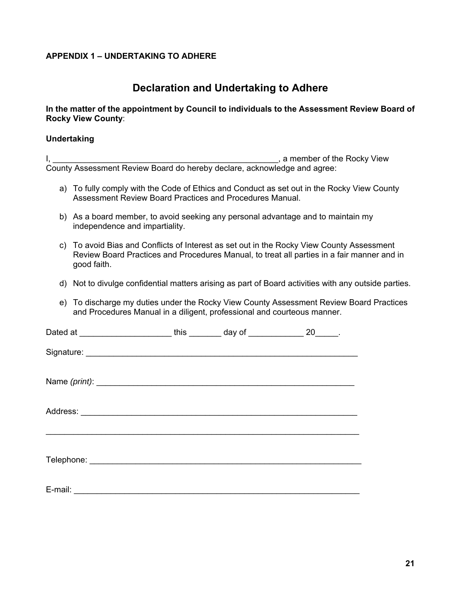# **APPENDIX 1 – UNDERTAKING TO ADHERE**

# **Declaration and Undertaking to Adhere**

# **In the matter of the appointment by Council to individuals to the Assessment Review Board of Rocky View County**:

#### **Undertaking**

I, \_\_\_\_\_\_\_\_\_\_\_\_\_\_\_\_\_\_\_\_\_\_\_\_\_\_\_\_\_\_\_\_\_\_\_\_\_\_\_\_\_\_\_\_\_\_\_\_\_, a member of the Rocky View County Assessment Review Board do hereby declare, acknowledge and agree:

- a) To fully comply with the Code of Ethics and Conduct as set out in the Rocky View County Assessment Review Board Practices and Procedures Manual.
- b) As a board member, to avoid seeking any personal advantage and to maintain my independence and impartiality.
- c) To avoid Bias and Conflicts of Interest as set out in the Rocky View County Assessment Review Board Practices and Procedures Manual, to treat all parties in a fair manner and in good faith.
- d) Not to divulge confidential matters arising as part of Board activities with any outside parties.
- e) To discharge my duties under the Rocky View County Assessment Review Board Practices and Procedures Manual in a diligent, professional and courteous manner.

| Dated at _____________________ | this $\qquad \qquad \text{day of } \qquad \qquad \text{but}$ | 20 |
|--------------------------------|--------------------------------------------------------------|----|
|                                |                                                              |    |
|                                |                                                              |    |
|                                |                                                              |    |
|                                |                                                              |    |
|                                |                                                              |    |
|                                |                                                              |    |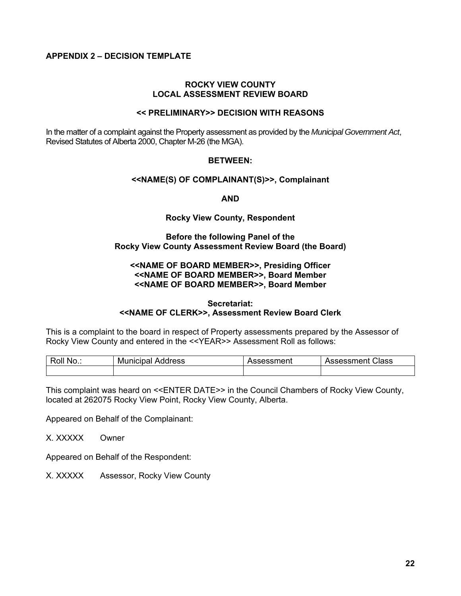# **APPENDIX 2 – DECISION TEMPLATE**

#### **ROCKY VIEW COUNTY LOCAL ASSESSMENT REVIEW BOARD**

#### **<< PRELIMINARY>> DECISION WITH REASONS**

In the matter of a complaint against the Property assessment as provided by the *Municipal Government Act*, Revised Statutes of Alberta 2000, Chapter M-26 (the MGA).

#### **BETWEEN:**

#### **<<NAME(S) OF COMPLAINANT(S)>>, Complainant**

**AND** 

#### **Rocky View County, Respondent**

#### **Before the following Panel of the Rocky View County Assessment Review Board (the Board)**

#### **<<NAME OF BOARD MEMBER>>, Presiding Officer <<NAME OF BOARD MEMBER>>, Board Member <<NAME OF BOARD MEMBER>>, Board Member**

#### **Secretariat: <<NAME OF CLERK>>, Assessment Review Board Clerk**

This is a complaint to the board in respect of Property assessments prepared by the Assessor of Rocky View County and entered in the <<YEAR>> Assessment Roll as follows:

| Roll  | Address   | Assessment | Class      |
|-------|-----------|------------|------------|
| ` No… | Municipal |            | Assessment |
|       |           |            |            |

This complaint was heard on <<ENTER DATE>> in the Council Chambers of Rocky View County, located at 262075 Rocky View Point, Rocky View County, Alberta.

Appeared on Behalf of the Complainant:

X. XXXXX Owner

Appeared on Behalf of the Respondent:

X. XXXXX Assessor, Rocky View County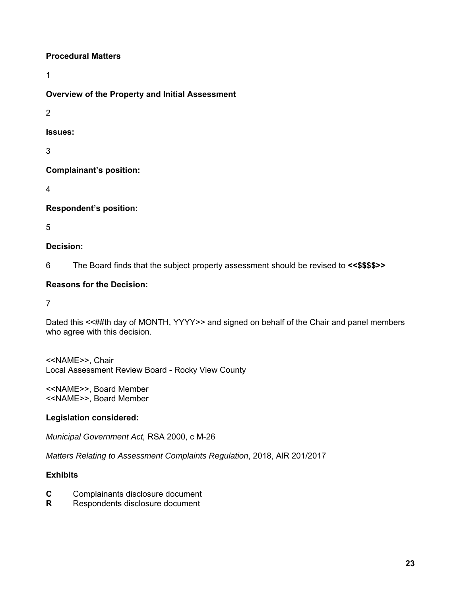# **Procedural Matters**

1

# **Overview of the Property and Initial Assessment**

2

**Issues:** 

3

**Complainant's position:**

4

**Respondent's position:** 

5

# **Decision:**

6 The Board finds that the subject property assessment should be revised to **<<\$\$\$\$>>**

# **Reasons for the Decision:**

7

Dated this <<##th day of MONTH, YYYY>> and signed on behalf of the Chair and panel members who agree with this decision.

<<NAME>>, Chair Local Assessment Review Board - Rocky View County

<<NAME>>, Board Member <<NAME>>, Board Member

# **Legislation considered:**

*Municipal Government Act,* RSA 2000, c M-26

*Matters Relating to Assessment Complaints Regulation*, 2018, AlR 201/2017

# **Exhibits**

- **C** Complainants disclosure document
- **R** Respondents disclosure document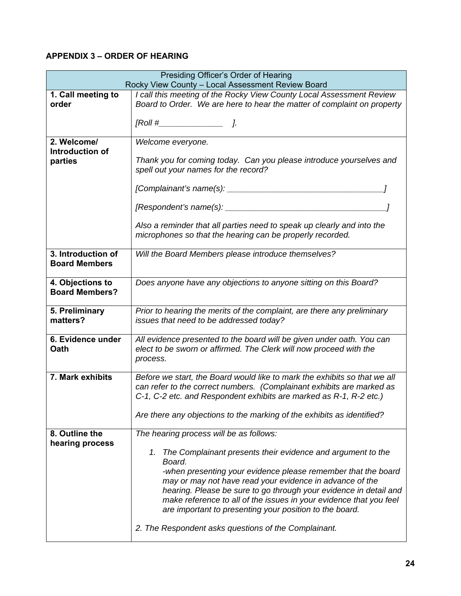# **APPENDIX 3 – ORDER OF HEARING**

| Presiding Officer's Order of Hearing<br>Rocky View County - Local Assessment Review Board |                                                                                                                                                                                                                                                                |
|-------------------------------------------------------------------------------------------|----------------------------------------------------------------------------------------------------------------------------------------------------------------------------------------------------------------------------------------------------------------|
| 1. Call meeting to                                                                        | I call this meeting of the Rocky View County Local Assessment Review                                                                                                                                                                                           |
| order                                                                                     | Board to Order. We are here to hear the matter of complaint on property                                                                                                                                                                                        |
|                                                                                           |                                                                                                                                                                                                                                                                |
| 2. Welcome/                                                                               | Welcome everyone.                                                                                                                                                                                                                                              |
| Introduction of<br>parties                                                                | Thank you for coming today. Can you please introduce yourselves and<br>spell out your names for the record?                                                                                                                                                    |
|                                                                                           |                                                                                                                                                                                                                                                                |
|                                                                                           |                                                                                                                                                                                                                                                                |
|                                                                                           | Also a reminder that all parties need to speak up clearly and into the<br>microphones so that the hearing can be properly recorded.                                                                                                                            |
| 3. Introduction of<br><b>Board Members</b>                                                | Will the Board Members please introduce themselves?                                                                                                                                                                                                            |
| 4. Objections to<br><b>Board Members?</b>                                                 | Does anyone have any objections to anyone sitting on this Board?                                                                                                                                                                                               |
| 5. Preliminary<br>matters?                                                                | Prior to hearing the merits of the complaint, are there any preliminary<br>issues that need to be addressed today?                                                                                                                                             |
| 6. Evidence under<br>Oath                                                                 | All evidence presented to the board will be given under oath. You can<br>elect to be sworn or affirmed. The Clerk will now proceed with the<br>process.                                                                                                        |
| 7. Mark exhibits                                                                          | Before we start, the Board would like to mark the exhibits so that we all<br>can refer to the correct numbers. (Complainant exhibits are marked as<br>C-1, C-2 etc. and Respondent exhibits are marked as R-1, R-2 etc.)                                       |
|                                                                                           | Are there any objections to the marking of the exhibits as identified?                                                                                                                                                                                         |
| 8. Outline the                                                                            | The hearing process will be as follows:                                                                                                                                                                                                                        |
| hearing process                                                                           | The Complainant presents their evidence and argument to the<br>1.<br>Board.<br>-when presenting your evidence please remember that the board                                                                                                                   |
|                                                                                           | may or may not have read your evidence in advance of the<br>hearing. Please be sure to go through your evidence in detail and<br>make reference to all of the issues in your evidence that you feel<br>are important to presenting your position to the board. |
|                                                                                           | 2. The Respondent asks questions of the Complainant.                                                                                                                                                                                                           |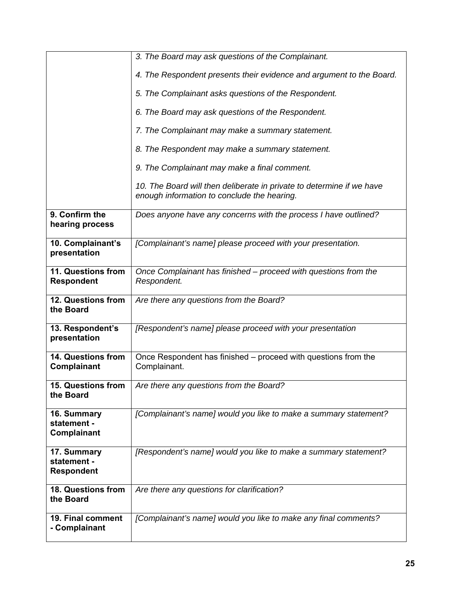|                                                 | 3. The Board may ask questions of the Complainant.                                                                   |
|-------------------------------------------------|----------------------------------------------------------------------------------------------------------------------|
|                                                 |                                                                                                                      |
|                                                 | 4. The Respondent presents their evidence and argument to the Board.                                                 |
|                                                 | 5. The Complainant asks questions of the Respondent.                                                                 |
|                                                 | 6. The Board may ask questions of the Respondent.                                                                    |
|                                                 | 7. The Complainant may make a summary statement.                                                                     |
|                                                 | 8. The Respondent may make a summary statement.                                                                      |
|                                                 | 9. The Complainant may make a final comment.                                                                         |
|                                                 | 10. The Board will then deliberate in private to determine if we have<br>enough information to conclude the hearing. |
| 9. Confirm the<br>hearing process               | Does anyone have any concerns with the process I have outlined?                                                      |
| 10. Complainant's<br>presentation               | [Complainant's name] please proceed with your presentation.                                                          |
| 11. Questions from<br><b>Respondent</b>         | Once Complainant has finished - proceed with questions from the<br>Respondent.                                       |
|                                                 |                                                                                                                      |
| 12. Questions from<br>the Board                 | Are there any questions from the Board?                                                                              |
| 13. Respondent's<br>presentation                | [Respondent's name] please proceed with your presentation                                                            |
| 14. Questions from<br>Complainant               | Once Respondent has finished – proceed with questions from the<br>Complainant.                                       |
| <b>15. Questions from</b><br>the Board          | Are there any questions from the Board?                                                                              |
| 16. Summary<br>statement -<br>Complainant       | [Complainant's name] would you like to make a summary statement?                                                     |
| 17. Summary<br>statement -<br><b>Respondent</b> | [Respondent's name] would you like to make a summary statement?                                                      |
| 18. Questions from<br>the Board                 | Are there any questions for clarification?                                                                           |
| 19. Final comment<br>- Complainant              | [Complainant's name] would you like to make any final comments?                                                      |